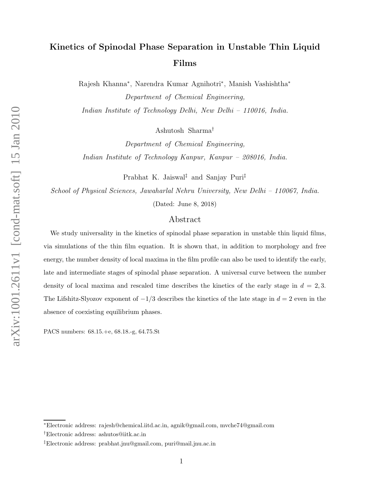## Kinetics of Spinodal Phase Separation in Unstable Thin Liquid Films

Rajesh Khanna<sup>∗</sup> , Narendra Kumar Agnihotri<sup>∗</sup> , Manish Vashishtha<sup>∗</sup> Department of Chemical Engineering,

Indian Institute of Technology Delhi, New Delhi – 110016, India.

Ashutosh Sharma†

Department of Chemical Engineering, Indian Institute of Technology Kanpur, Kanpur – 208016, India.

Prabhat K. Jaiswal‡ and Sanjay Puri‡

School of Physical Sciences, Jawaharlal Nehru University, New Delhi – 110067, India.

(Dated: June 8, 2018)

## Abstract

We study universality in the kinetics of spinodal phase separation in unstable thin liquid films, via simulations of the thin film equation. It is shown that, in addition to morphology and free energy, the number density of local maxima in the film profile can also be used to identify the early, late and intermediate stages of spinodal phase separation. A universal curve between the number density of local maxima and rescaled time describes the kinetics of the early stage in  $d = 2, 3$ . The Lifshitz-Slyozov exponent of  $-1/3$  describes the kinetics of the late stage in  $d = 2$  even in the absence of coexisting equilibrium phases.

PACS numbers: 68.15.+e, 68.18.-g, 64.75.St

<sup>∗</sup>Electronic address: rajesh@chemical.iitd.ac.in, agnik@gmail.com, mvche74@gmail.com

<sup>†</sup>Electronic address: ashutos@iitk.ac.in

<sup>‡</sup>Electronic address: prabhat.jnu@gmail.com, puri@mail.jnu.ac.in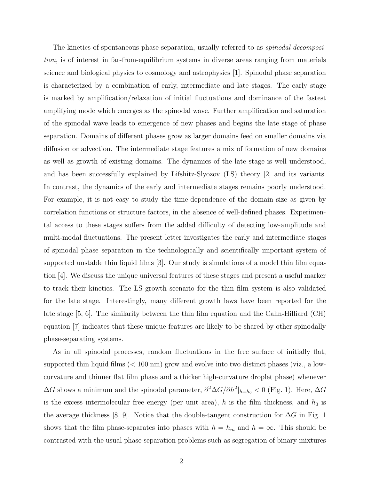The kinetics of spontaneous phase separation, usually referred to as *spinodal decomposi*tion, is of interest in far-from-equilibrium systems in diverse areas ranging from materials science and biological physics to cosmology and astrophysics [1]. Spinodal phase separation is characterized by a combination of early, intermediate and late stages. The early stage is marked by amplification/relaxation of initial fluctuations and dominance of the fastest amplifying mode which emerges as the spinodal wave. Further amplification and saturation of the spinodal wave leads to emergence of new phases and begins the late stage of phase separation. Domains of different phases grow as larger domains feed on smaller domains via diffusion or advection. The intermediate stage features a mix of formation of new domains as well as growth of existing domains. The dynamics of the late stage is well understood, and has been successfully explained by Lifshitz-Slyozov (LS) theory [2] and its variants. In contrast, the dynamics of the early and intermediate stages remains poorly understood. For example, it is not easy to study the time-dependence of the domain size as given by correlation functions or structure factors, in the absence of well-defined phases. Experimental access to these stages suffers from the added difficulty of detecting low-amplitude and multi-modal fluctuations. The present letter investigates the early and intermediate stages of spinodal phase separation in the technologically and scientifically important system of supported unstable thin liquid films [3]. Our study is simulations of a model thin film equation [4]. We discuss the unique universal features of these stages and present a useful marker to track their kinetics. The LS growth scenario for the thin film system is also validated for the late stage. Interestingly, many different growth laws have been reported for the late stage [5, 6]. The similarity between the thin film equation and the Cahn-Hilliard (CH) equation [7] indicates that these unique features are likely to be shared by other spinodally phase-separating systems.

As in all spinodal processes, random fluctuations in the free surface of initially flat, supported thin liquid films  $(< 100 \text{ nm})$  grow and evolve into two distinct phases (viz., a lowcurvature and thinner flat film phase and a thicker high-curvature droplet phase) whenever  $\Delta G$  shows a minimum and the spinodal parameter,  $\partial^2 \Delta G / \partial h^2|_{h=h_0} < 0$  (Fig. 1). Here,  $\Delta G$ is the excess intermolecular free energy (per unit area), h is the film thickness, and  $h_0$  is the average thickness [8, 9]. Notice that the double-tangent construction for  $\Delta G$  in Fig. 1 shows that the film phase-separates into phases with  $h = h_m$  and  $h = \infty$ . This should be contrasted with the usual phase-separation problems such as segregation of binary mixtures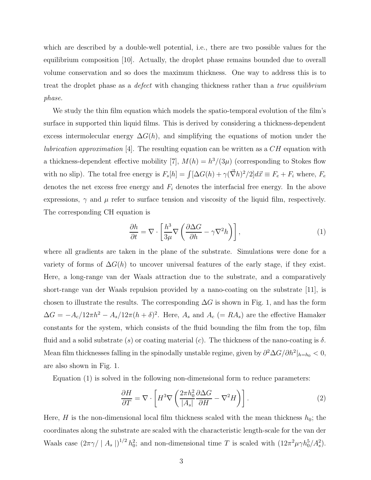which are described by a double-well potential, i.e., there are two possible values for the equilibrium composition [10]. Actually, the droplet phase remains bounded due to overall volume conservation and so does the maximum thickness. One way to address this is to treat the droplet phase as a *defect* with changing thickness rather than a *true equilibrium* phase.

We study the thin film equation which models the spatio-temporal evolution of the film's surface in supported thin liquid films. This is derived by considering a thickness-dependent excess intermolecular energy  $\Delta G(h)$ , and simplifying the equations of motion under the *lubrication approximation* [4]. The resulting equation can be written as a  $CH$  equation with a thickness-dependent effective mobility [7],  $M(h) = h^3/(3\mu)$  (corresponding to Stokes flow with no slip). The total free energy is  $F_s[h] = \int [\Delta G(h) + \gamma(\vec{\nabla}h)^2/2] d\vec{x} \equiv F_e + F_i$  where,  $F_e$ denotes the net excess free energy and  $F_i$  denotes the interfacial free energy. In the above expressions,  $\gamma$  and  $\mu$  refer to surface tension and viscosity of the liquid film, respectively. The corresponding CH equation is

$$
\frac{\partial h}{\partial t} = \nabla \cdot \left[ \frac{h^3}{3\mu} \nabla \left( \frac{\partial \Delta G}{\partial h} - \gamma \nabla^2 h \right) \right],\tag{1}
$$

where all gradients are taken in the plane of the substrate. Simulations were done for a variety of forms of  $\Delta G(h)$  to uncover universal features of the early stage, if they exist. Here, a long-range van der Waals attraction due to the substrate, and a comparatively short-range van der Waals repulsion provided by a nano-coating on the substrate [11], is chosen to illustrate the results. The corresponding  $\Delta G$  is shown in Fig. 1, and has the form  $\Delta G = -A_c/12\pi h^2 - A_s/12\pi (h+\delta)^2$ . Here,  $A_s$  and  $A_c$  (= RA<sub>s</sub>) are the effective Hamaker constants for the system, which consists of the fluid bounding the film from the top, film fluid and a solid substrate (s) or coating material (c). The thickness of the nano-coating is  $\delta$ . Mean film thicknesses falling in the spinodally unstable regime, given by  $\partial^2 \Delta G / \partial h^2 |_{h=h_0} < 0$ , are also shown in Fig. 1.

Equation (1) is solved in the following non-dimensional form to reduce parameters:

$$
\frac{\partial H}{\partial T} = \nabla \cdot \left[ H^3 \nabla \left( \frac{2\pi h_0^2}{|A_s|} \frac{\partial \Delta G}{\partial H} - \nabla^2 H \right) \right]. \tag{2}
$$

Here, H is the non-dimensional local film thickness scaled with the mean thickness  $h_0$ ; the coordinates along the substrate are scaled with the characteristic length-scale for the van der Waals case  $(2\pi\gamma/ |A_s|)^{1/2} h_0^2$ ; and non-dimensional time T is scaled with  $(12\pi^2\mu\gamma h_0^5/A_s^2)$ .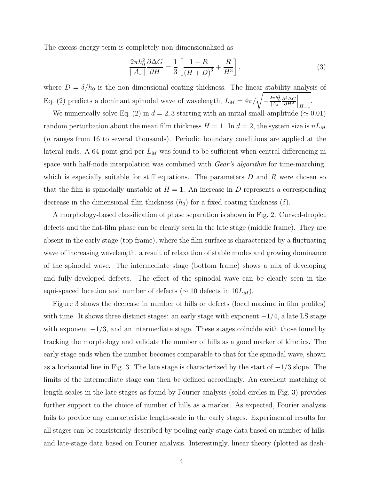The excess energy term is completely non-dimensionalized as

$$
\frac{2\pi h_0^2}{|A_s|} \frac{\partial \Delta G}{\partial H} = \frac{1}{3} \left[ \frac{1 - R}{(H + D)^3} + \frac{R}{H^3} \right],\tag{3}
$$

where  $D = \delta/h_0$  is the non-dimensional coating thickness. The linear stability analysis of Eq. (2) predicts a dominant spinodal wave of wavelength,  $L_M = 4\pi/\sqrt{-\frac{2\pi h_0^2}{|A_s|}}$  $\partial^2 \Delta G$  $\partial H^2$  $\Big|_{H=1}$ .

We numerically solve Eq. (2) in  $d = 2, 3$  starting with an initial small-amplitude ( $\simeq 0.01$ ) random perturbation about the mean film thickness  $H = 1$ . In  $d = 2$ , the system size is  $nL_M$ (n ranges from 16 to several thousands). Periodic boundary conditions are applied at the lateral ends. A 64-point grid per  $L_M$  was found to be sufficient when central differencing in space with half-node interpolation was combined with *Gear's algorithm* for time-marching, which is especially suitable for stiff equations. The parameters  $D$  and  $R$  were chosen so that the film is spinodally unstable at  $H = 1$ . An increase in D represents a corresponding decrease in the dimensional film thickness  $(h_0)$  for a fixed coating thickness  $(\delta)$ .

A morphology-based classification of phase separation is shown in Fig. 2. Curved-droplet defects and the flat-film phase can be clearly seen in the late stage (middle frame). They are absent in the early stage (top frame), where the film surface is characterized by a fluctuating wave of increasing wavelength, a result of relaxation of stable modes and growing dominance of the spinodal wave. The intermediate stage (bottom frame) shows a mix of developing and fully-developed defects. The effect of the spinodal wave can be clearly seen in the equi-spaced location and number of defects ( $\sim 10$  defects in  $10L_M$ ).

Figure 3 shows the decrease in number of hills or defects (local maxima in film profiles) with time. It shows three distinct stages: an early stage with exponent  $-1/4$ , a late LS stage with exponent  $-1/3$ , and an intermediate stage. These stages coincide with those found by tracking the morphology and validate the number of hills as a good marker of kinetics. The early stage ends when the number becomes comparable to that for the spinodal wave, shown as a horizontal line in Fig. 3. The late stage is characterized by the start of  $-1/3$  slope. The limits of the intermediate stage can then be defined accordingly. An excellent matching of length-scales in the late stages as found by Fourier analysis (solid circles in Fig. 3) provides further support to the choice of number of hills as a marker. As expected, Fourier analysis fails to provide any characteristic length-scale in the early stages. Experimental results for all stages can be consistently described by pooling early-stage data based on number of hills, and late-stage data based on Fourier analysis. Interestingly, linear theory (plotted as dash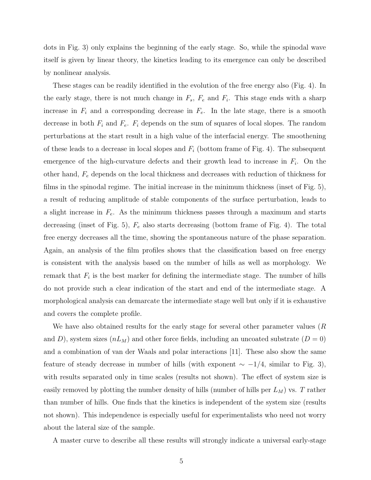dots in Fig. 3) only explains the beginning of the early stage. So, while the spinodal wave itself is given by linear theory, the kinetics leading to its emergence can only be described by nonlinear analysis.

These stages can be readily identified in the evolution of the free energy also (Fig. 4). In the early stage, there is not much change in  $F_s$ ,  $F_e$  and  $F_i$ . This stage ends with a sharp increase in  $F_i$  and a corresponding decrease in  $F_e$ . In the late stage, there is a smooth decrease in both  $F_i$  and  $F_e$ .  $F_i$  depends on the sum of squares of local slopes. The random perturbations at the start result in a high value of the interfacial energy. The smoothening of these leads to a decrease in local slopes and  $F_i$  (bottom frame of Fig. 4). The subsequent emergence of the high-curvature defects and their growth lead to increase in  $F_i$ . On the other hand,  $F_e$  depends on the local thickness and decreases with reduction of thickness for films in the spinodal regime. The initial increase in the minimum thickness (inset of Fig. 5), a result of reducing amplitude of stable components of the surface perturbation, leads to a slight increase in  $F_e$ . As the minimum thickness passes through a maximum and starts decreasing (inset of Fig. 5),  $F_e$  also starts decreasing (bottom frame of Fig. 4). The total free energy decreases all the time, showing the spontaneous nature of the phase separation. Again, an analysis of the film profiles shows that the classification based on free energy is consistent with the analysis based on the number of hills as well as morphology. We remark that  $F_i$  is the best marker for defining the intermediate stage. The number of hills do not provide such a clear indication of the start and end of the intermediate stage. A morphological analysis can demarcate the intermediate stage well but only if it is exhaustive and covers the complete profile.

We have also obtained results for the early stage for several other parameter values (R and D), system sizes  $(nL_M)$  and other force fields, including an uncoated substrate  $(D = 0)$ and a combination of van der Waals and polar interactions [11]. These also show the same feature of steady decrease in number of hills (with exponent  $\sim -1/4$ , similar to Fig. 3), with results separated only in time scales (results not shown). The effect of system size is easily removed by plotting the number density of hills (number of hills per  $L_M$ ) vs. T rather than number of hills. One finds that the kinetics is independent of the system size (results not shown). This independence is especially useful for experimentalists who need not worry about the lateral size of the sample.

A master curve to describe all these results will strongly indicate a universal early-stage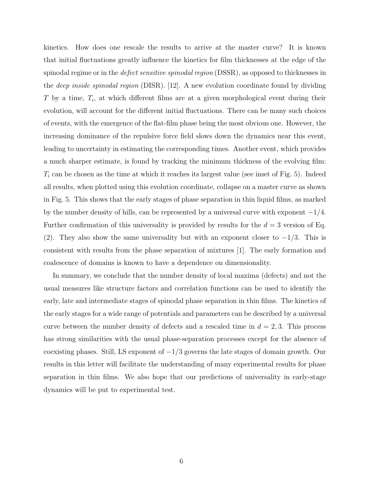kinetics. How does one rescale the results to arrive at the master curve? It is known that initial fluctuations greatly influence the kinetics for film thicknesses at the edge of the spinodal regime or in the *defect sensitive spinodal region* (DSSR), as opposed to thicknesses in the deep inside spinodal region (DISR). [12]. A new evolution coordinate found by dividing T by a time,  $T_i$ , at which different films are at a given morphological event during their evolution, will account for the different initial fluctuations. There can be many such choices of events, with the emergence of the flat-film phase being the most obvious one. However, the increasing dominance of the repulsive force field slows down the dynamics near this event, leading to uncertainty in estimating the corresponding times. Another event, which provides a much sharper estimate, is found by tracking the minimum thickness of the evolving film:  $T_i$  can be chosen as the time at which it reaches its largest value (see inset of Fig. 5). Indeed all results, when plotted using this evolution coordinate, collapse on a master curve as shown in Fig. 5. This shows that the early stages of phase separation in thin liquid films, as marked by the number density of hills, can be represented by a universal curve with exponent  $-1/4$ . Further confirmation of this universality is provided by results for the  $d = 3$  version of Eq. (2). They also show the same universality but with an exponent closer to  $-1/3$ . This is consistent with results from the phase separation of mixtures [1]. The early formation and coalescence of domains is known to have a dependence on dimensionality.

In summary, we conclude that the number density of local maxima (defects) and not the usual measures like structure factors and correlation functions can be used to identify the early, late and intermediate stages of spinodal phase separation in thin films. The kinetics of the early stages for a wide range of potentials and parameters can be described by a universal curve between the number density of defects and a rescaled time in  $d = 2, 3$ . This process has strong similarities with the usual phase-separation processes except for the absence of coexisting phases. Still, LS exponent of  $-1/3$  governs the late stages of domain growth. Our results in this letter will facilitate the understanding of many experimental results for phase separation in thin films. We also hope that our predictions of universality in early-stage dynamics will be put to experimental test.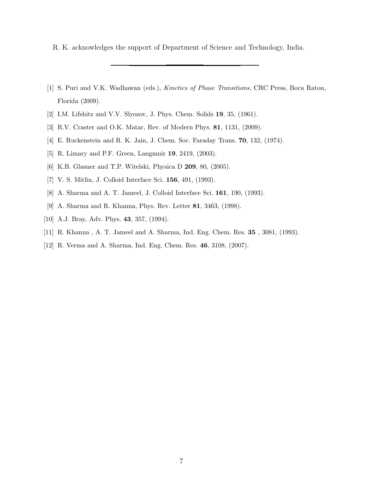R. K. acknowledges the support of Department of Science and Technology, India.

- [1] S. Puri and V.K. Wadhawan (eds.), Kinetics of Phase Transitions, CRC Press, Boca Raton, Florida (2009).
- [2] I.M. Lifshitz and V.V. Slyozov, J. Phys. Chem. Solids 19, 35, (1961).
- [3] R.V. Craster and O.K. Matar, Rev. of Modern Phys. 81, 1131, (2009).
- [4] E. Ruckenstein and R. K. Jain, J. Chem. Soc. Faraday Trans. 70, 132, (1974).
- [5] R. Limary and P.F. Green, Langmuir 19, 2419, (2003).
- [6] K.B. Glasner and T.P. Witelski, Physica D 209, 80, (2005).
- [7] V. S. Mitlin, J. Colloid Interface Sci. 156, 491, (1993).
- [8] A. Sharma and A. T. Jameel, J. Colloid Interface Sci. 161, 190, (1993).
- [9] A. Sharma and R. Khanna, Phys. Rev. Letter 81, 3463, (1998).
- [10] A.J. Bray, Adv. Phys. 43, 357, (1994).
- [11] R. Khanna , A. T. Jameel and A. Sharma, Ind. Eng. Chem. Res. 35 , 3081, (1993).
- [12] R. Verma and A. Sharma, Ind. Eng. Chem. Res. 46, 3108, (2007).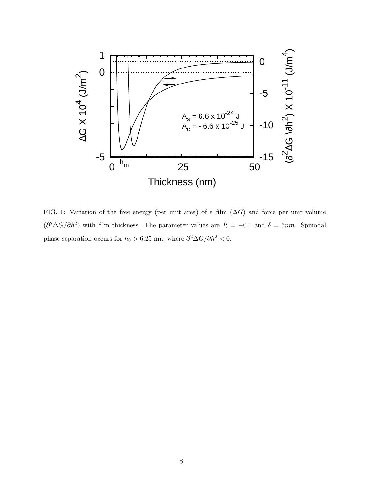

FIG. 1: Variation of the free energy (per unit area) of a film  $(\Delta G)$  and force per unit volume  $(\partial^2 \Delta G / \partial h^2)$  with film thickness. The parameter values are  $R = -0.1$  and  $\delta = 5nm$ . Spinodal phase separation occurs for  $h_0 > 6.25$  nm, where  $\partial^2 \Delta G / \partial h^2 < 0$ .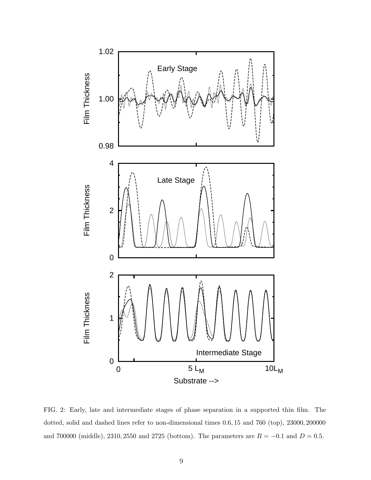

FIG. 2: Early, late and intermediate stages of phase separation in a supported thin film. The dotted, solid and dashed lines refer to non-dimensional times 0.6, 15 and 760 (top), 23000, 200000 and 700000 (middle), 2310, 2550 and 2725 (bottom). The parameters are  $R = -0.1$  and  $D = 0.5$ .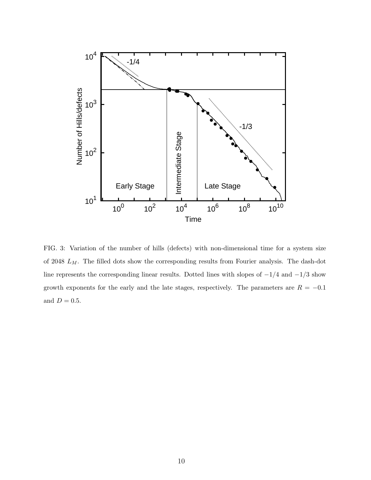

FIG. 3: Variation of the number of hills (defects) with non-dimensional time for a system size of 2048  $L_M$ . The filled dots show the corresponding results from Fourier analysis. The dash-dot line represents the corresponding linear results. Dotted lines with slopes of −1/4 and −1/3 show growth exponents for the early and the late stages, respectively. The parameters are  $R = -0.1$ and  $D = 0.5$ .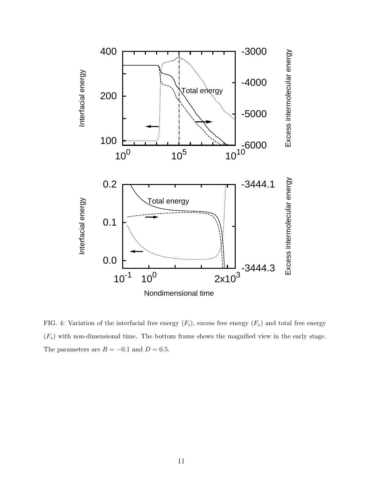

FIG. 4: Variation of the interfacial free energy  $(F_i)$ , excess free energy  $(F_e)$  and total free energy  $(F_s)$  with non-dimensional time. The bottom frame shows the magnified view in the early stage. The parameters are  $R = -0.1$  and  $D = 0.5$ .